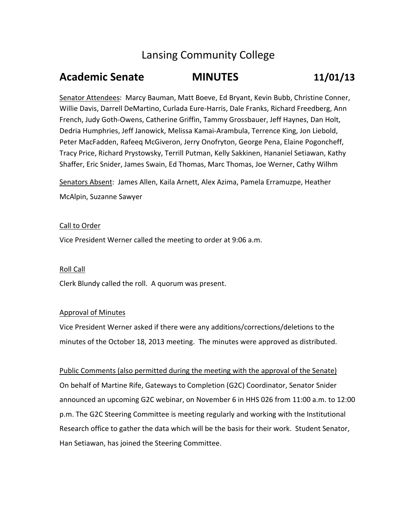# Lansing Community College

# **Academic Senate MINUTES 11/01/13**

Senator Attendees: Marcy Bauman, Matt Boeve, Ed Bryant, Kevin Bubb, Christine Conner, Willie Davis, Darrell DeMartino, Curlada Eure‐Harris, Dale Franks, Richard Freedberg, Ann French, Judy Goth‐Owens, Catherine Griffin, Tammy Grossbauer, Jeff Haynes, Dan Holt, Dedria Humphries, Jeff Janowick, Melissa Kamai‐Arambula, Terrence King, Jon Liebold, Peter MacFadden, Rafeeq McGiveron, Jerry Onofryton, George Pena, Elaine Pogoncheff, Tracy Price, Richard Prystowsky, Terrill Putman, Kelly Sakkinen, Hananiel Setiawan, Kathy Shaffer, Eric Snider, James Swain, Ed Thomas, Marc Thomas, Joe Werner, Cathy Wilhm

Senators Absent: James Allen, Kaila Arnett, Alex Azima, Pamela Erramuzpe, Heather McAlpin, Suzanne Sawyer

# Call to Order

Vice President Werner called the meeting to order at 9:06 a.m.

# Roll Call

Clerk Blundy called the roll. A quorum was present.

# Approval of Minutes

Vice President Werner asked if there were any additions/corrections/deletions to the minutes of the October 18, 2013 meeting. The minutes were approved as distributed.

Public Comments (also permitted during the meeting with the approval of the Senate) On behalf of Martine Rife, Gateways to Completion (G2C) Coordinator, Senator Snider announced an upcoming G2C webinar, on November 6 in HHS 026 from 11:00 a.m. to 12:00 p.m. The G2C Steering Committee is meeting regularly and working with the Institutional Research office to gather the data which will be the basis for their work. Student Senator, Han Setiawan, has joined the Steering Committee.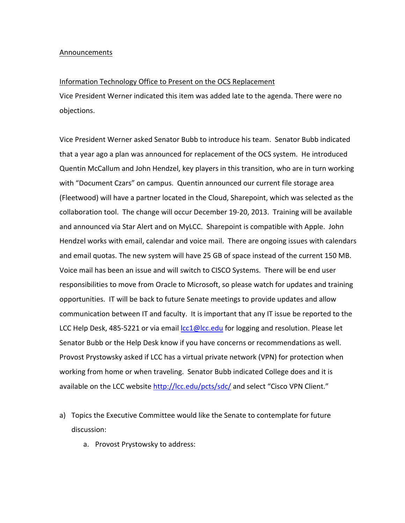#### Announcements

### Information Technology Office to Present on the OCS Replacement

Vice President Werner indicated this item was added late to the agenda. There were no objections.

Vice President Werner asked Senator Bubb to introduce his team. Senator Bubb indicated that a year ago a plan was announced for replacement of the OCS system. He introduced Quentin McCallum and John Hendzel, key players in this transition, who are in turn working with "Document Czars" on campus. Quentin announced our current file storage area (Fleetwood) will have a partner located in the Cloud, Sharepoint, which was selected as the collaboration tool. The change will occur December 19‐20, 2013. Training will be available and announced via Star Alert and on MyLCC. Sharepoint is compatible with Apple. John Hendzel works with email, calendar and voice mail. There are ongoing issues with calendars and email quotas. The new system will have 25 GB of space instead of the current 150 MB. Voice mail has been an issue and will switch to CISCO Systems. There will be end user responsibilities to move from Oracle to Microsoft, so please watch for updates and training opportunities. IT will be back to future Senate meetings to provide updates and allow communication between IT and faculty. It is important that any IT issue be reported to the LCC Help Desk, 485-5221 or via email lcc1@lcc.edu for logging and resolution. Please let Senator Bubb or the Help Desk know if you have concerns or recommendations as well. Provost Prystowsky asked if LCC has a virtual private network (VPN) for protection when working from home or when traveling. Senator Bubb indicated College does and it is available on the LCC website http://lcc.edu/pcts/sdc/ and select "Cisco VPN Client."

- a) Topics the Executive Committee would like the Senate to contemplate for future discussion:
	- a. Provost Prystowsky to address: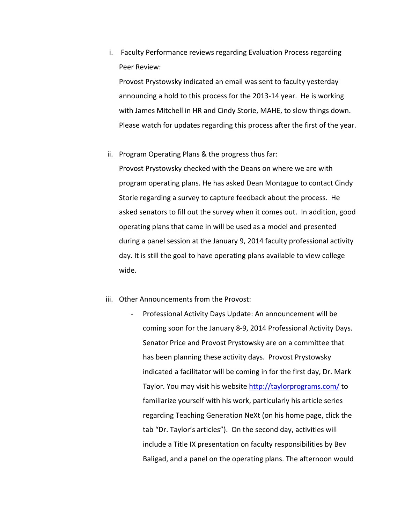i. Faculty Performance reviews regarding Evaluation Process regarding Peer Review:

Provost Prystowsky indicated an email was sent to faculty yesterday announcing a hold to this process for the 2013‐14 year. He is working with James Mitchell in HR and Cindy Storie, MAHE, to slow things down. Please watch for updates regarding this process after the first of the year.

ii. Program Operating Plans & the progress thus far:

Provost Prystowsky checked with the Deans on where we are with program operating plans. He has asked Dean Montague to contact Cindy Storie regarding a survey to capture feedback about the process. He asked senators to fill out the survey when it comes out. In addition, good operating plans that came in will be used as a model and presented during a panel session at the January 9, 2014 faculty professional activity day. It is still the goal to have operating plans available to view college wide.

- iii. Other Announcements from the Provost:
	- ‐ Professional Activity Days Update: An announcement will be coming soon for the January 8‐9, 2014 Professional Activity Days. Senator Price and Provost Prystowsky are on a committee that has been planning these activity days. Provost Prystowsky indicated a facilitator will be coming in for the first day, Dr. Mark Taylor. You may visit his website http://taylorprograms.com/ to familiarize yourself with his work, particularly his article series regarding Teaching Generation NeXt (on his home page, click the tab "Dr. Taylor's articles"). On the second day, activities will include a Title IX presentation on faculty responsibilities by Bev Baligad, and a panel on the operating plans. The afternoon would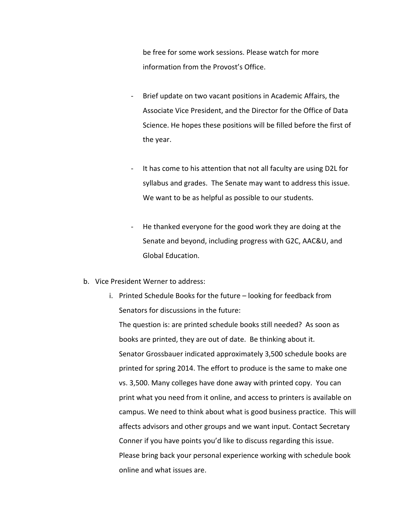be free for some work sessions. Please watch for more information from the Provost's Office.

- ‐ Brief update on two vacant positions in Academic Affairs, the Associate Vice President, and the Director for the Office of Data Science. He hopes these positions will be filled before the first of the year.
- ‐ It has come to his attention that not all faculty are using D2L for syllabus and grades. The Senate may want to address this issue. We want to be as helpful as possible to our students.
- ‐ He thanked everyone for the good work they are doing at the Senate and beyond, including progress with G2C, AAC&U, and Global Education.
- b. Vice President Werner to address:
	- i. Printed Schedule Books for the future looking for feedback from Senators for discussions in the future: The question is: are printed schedule books still needed? As soon as books are printed, they are out of date. Be thinking about it. Senator Grossbauer indicated approximately 3,500 schedule books are printed for spring 2014. The effort to produce is the same to make one vs. 3,500. Many colleges have done away with printed copy. You can print what you need from it online, and access to printers is available on campus. We need to think about what is good business practice. This will affects advisors and other groups and we want input. Contact Secretary Conner if you have points you'd like to discuss regarding this issue. Please bring back your personal experience working with schedule book online and what issues are.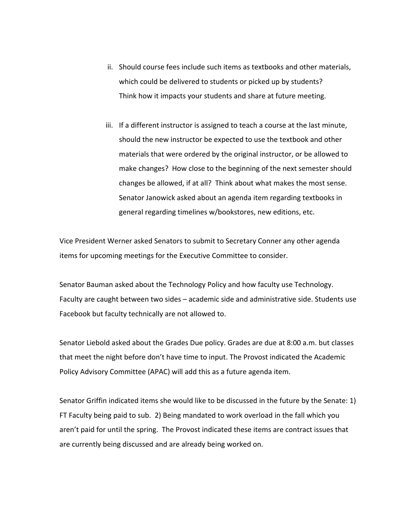- ii. Should course fees include such items as textbooks and other materials, which could be delivered to students or picked up by students? Think how it impacts your students and share at future meeting.
- iii. If a different instructor is assigned to teach a course at the last minute, should the new instructor be expected to use the textbook and other materials that were ordered by the original instructor, or be allowed to make changes? How close to the beginning of the next semester should changes be allowed, if at all? Think about what makes the most sense. Senator Janowick asked about an agenda item regarding textbooks in general regarding timelines w/bookstores, new editions, etc.

Vice President Werner asked Senators to submit to Secretary Conner any other agenda items for upcoming meetings for the Executive Committee to consider.

Senator Bauman asked about the Technology Policy and how faculty use Technology. Faculty are caught between two sides – academic side and administrative side. Students use Facebook but faculty technically are not allowed to.

Senator Liebold asked about the Grades Due policy. Grades are due at 8:00 a.m. but classes that meet the night before don't have time to input. The Provost indicated the Academic Policy Advisory Committee (APAC) will add this as a future agenda item.

Senator Griffin indicated items she would like to be discussed in the future by the Senate: 1) FT Faculty being paid to sub. 2) Being mandated to work overload in the fall which you aren't paid for until the spring. The Provost indicated these items are contract issues that are currently being discussed and are already being worked on.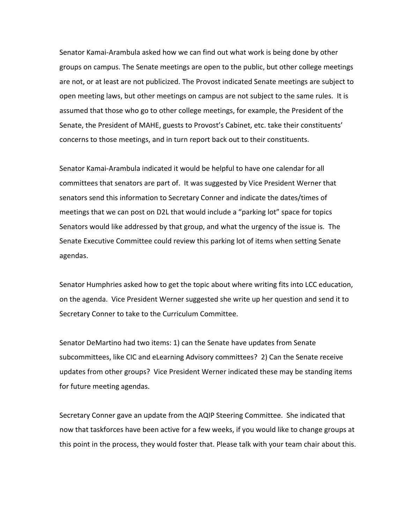Senator Kamai‐Arambula asked how we can find out what work is being done by other groups on campus. The Senate meetings are open to the public, but other college meetings are not, or at least are not publicized. The Provost indicated Senate meetings are subject to open meeting laws, but other meetings on campus are not subject to the same rules. It is assumed that those who go to other college meetings, for example, the President of the Senate, the President of MAHE, guests to Provost's Cabinet, etc. take their constituents' concerns to those meetings, and in turn report back out to their constituents.

Senator Kamai‐Arambula indicated it would be helpful to have one calendar for all committees that senators are part of. It was suggested by Vice President Werner that senators send this information to Secretary Conner and indicate the dates/times of meetings that we can post on D2L that would include a "parking lot" space for topics Senators would like addressed by that group, and what the urgency of the issue is. The Senate Executive Committee could review this parking lot of items when setting Senate agendas.

Senator Humphries asked how to get the topic about where writing fits into LCC education, on the agenda. Vice President Werner suggested she write up her question and send it to Secretary Conner to take to the Curriculum Committee.

Senator DeMartino had two items: 1) can the Senate have updates from Senate subcommittees, like CIC and eLearning Advisory committees? 2) Can the Senate receive updates from other groups? Vice President Werner indicated these may be standing items for future meeting agendas.

Secretary Conner gave an update from the AQIP Steering Committee. She indicated that now that taskforces have been active for a few weeks, if you would like to change groups at this point in the process, they would foster that. Please talk with your team chair about this.